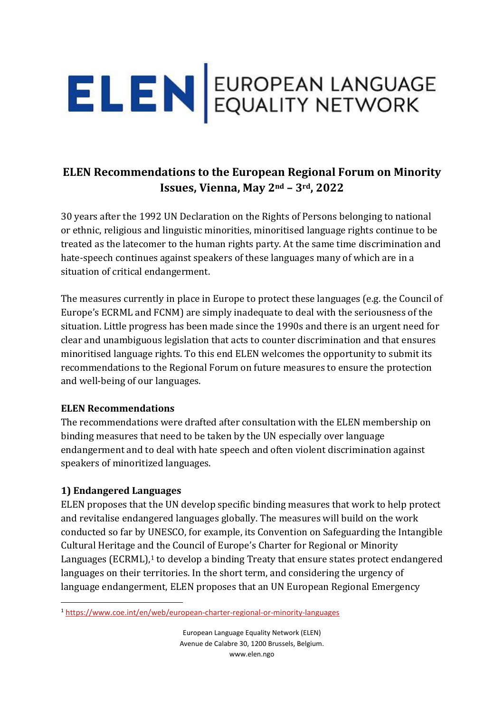

# **ELEN Recommendations to the European Regional Forum on Minority Issues, Vienna, May 2nd – 3rd, 2022**

30 years after the 1992 UN Declaration on the Rights of Persons belonging to national or ethnic, religious and linguistic minorities, minoritised language rights continue to be treated as the latecomer to the human rights party. At the same time discrimination and hate-speech continues against speakers of these languages many of which are in a situation of critical endangerment.

The measures currently in place in Europe to protect these languages (e.g. the Council of Europe's ECRML and FCNM) are simply inadequate to deal with the seriousness of the situation. Little progress has been made since the 1990s and there is an urgent need for clear and unambiguous legislation that acts to counter discrimination and that ensures minoritised language rights. To this end ELEN welcomes the opportunity to submit its recommendations to the Regional Forum on future measures to ensure the protection and well-being of our languages.

#### **ELEN Recommendations**

The recommendations were drafted after consultation with the ELEN membership on binding measures that need to be taken by the UN especially over language endangerment and to deal with hate speech and often violent discrimination against speakers of minoritized languages.

#### **1) Endangered Languages**

ELEN proposes that the UN develop specific binding measures that work to help protect and revitalise endangered languages globally. The measures will build on the work conducted so far by UNESCO, for example, its Convention on Safeguarding the Intangible Cultural Heritage and the Council of Europe's Charter for Regional or Minority Languages (ECRML), <sup>1</sup> to develop a binding Treaty that ensure states protect endangered languages on their territories. In the short term, and considering the urgency of language endangerment, ELEN proposes that an UN European Regional Emergency

<sup>1</sup> <https://www.coe.int/en/web/european-charter-regional-or-minority-languages>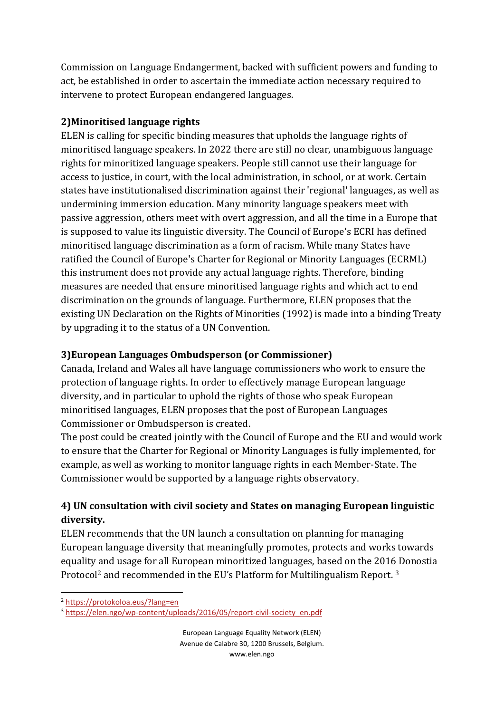Commission on Language Endangerment, backed with sufficient powers and funding to act, be established in order to ascertain the immediate action necessary required to intervene to protect European endangered languages.

#### **2)Minoritised language rights**

ELEN is calling for specific binding measures that upholds the language rights of minoritised language speakers. In 2022 there are still no clear, unambiguous language rights for minoritized language speakers. People still cannot use their language for access to justice, in court, with the local administration, in school, or at work. Certain states have institutionalised discrimination against their 'regional' languages, as well as undermining immersion education. Many minority language speakers meet with passive aggression, others meet with overt aggression, and all the time in a Europe that is supposed to value its linguistic diversity. The Council of Europe's ECRI has defined minoritised language discrimination as a form of racism. While many States have ratified the Council of Europe's Charter for Regional or Minority Languages (ECRML) this instrument does not provide any actual language rights. Therefore, binding measures are needed that ensure minoritised language rights and which act to end discrimination on the grounds of language. Furthermore, ELEN proposes that the existing UN Declaration on the Rights of Minorities (1992) is made into a binding Treaty by upgrading it to the status of a UN Convention.

### **3)European Languages Ombudsperson (or Commissioner)**

Canada, Ireland and Wales all have language commissioners who work to ensure the protection of language rights. In order to effectively manage European language diversity, and in particular to uphold the rights of those who speak European minoritised languages, ELEN proposes that the post of European Languages Commissioner or Ombudsperson is created.

The post could be created jointly with the Council of Europe and the EU and would work to ensure that the Charter for Regional or Minority Languages is fully implemented, for example, as well as working to monitor language rights in each Member-State. The Commissioner would be supported by a language rights observatory.

## **4) UN consultation with civil society and States on managing European linguistic diversity.**

ELEN recommends that the UN launch a consultation on planning for managing European language diversity that meaningfully promotes, protects and works towards equality and usage for all European minoritized languages, based on the 2016 Donostia Protocol<sup>2</sup> and recommended in the EU's Platform for Multilingualism Report. <sup>3</sup>

<sup>2</sup> <https://protokoloa.eus/?lang=en>

<sup>&</sup>lt;sup>3</sup> [https://elen.ngo/wp-content/uploads/2016/05/report-civil-society\\_en.pdf](https://elen.ngo/wp-content/uploads/2016/05/report-civil-society_en.pdf)